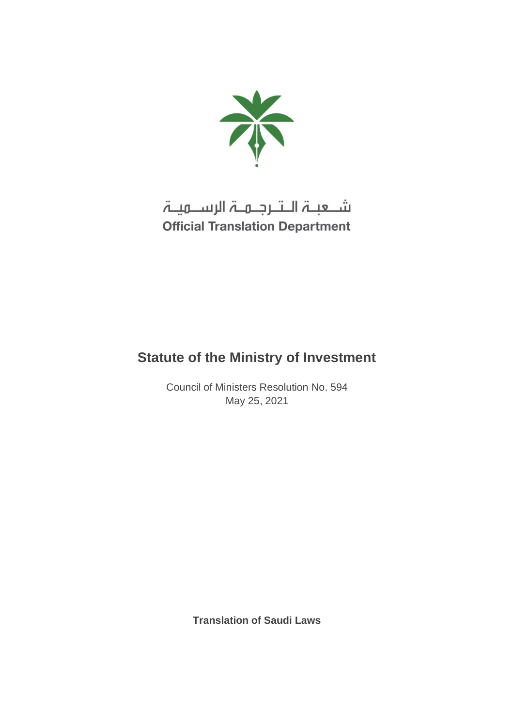

# شـعبـۃ الـتـرجـمـۃ الرســمیـۃ **Official Translation Department**

## **Statute of the Ministry of Investment**

Council of Ministers Resolution No. 594 May 25, 2021

**Translation of Saudi Laws**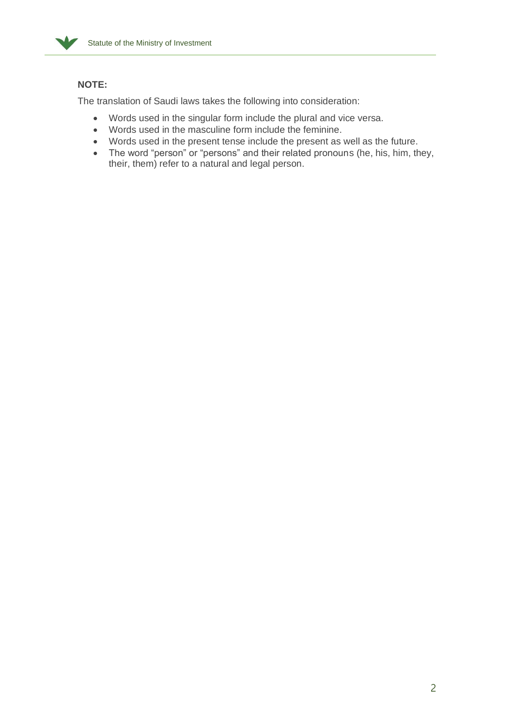

## **NOTE:**

The translation of Saudi laws takes the following into consideration:

- Words used in the singular form include the plural and vice versa.
- Words used in the masculine form include the feminine.
- Words used in the present tense include the present as well as the future.
- The word "person" or "persons" and their related pronouns (he, his, him, they, their, them) refer to a natural and legal person.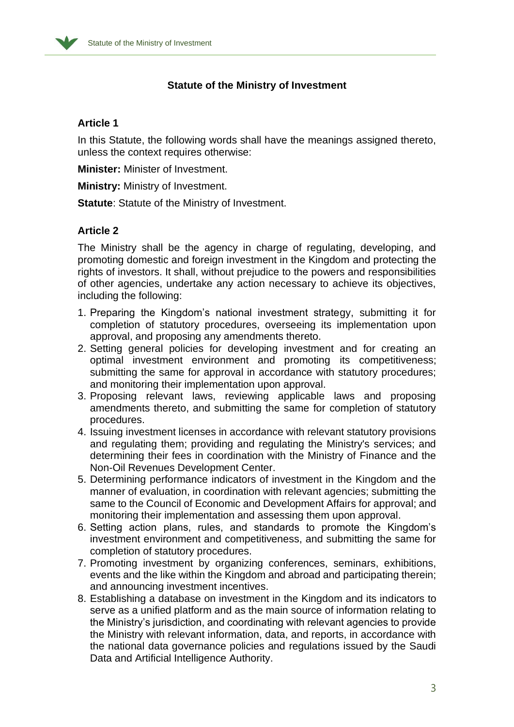

## **Statute of the Ministry of Investment**

#### **Article 1**

In this Statute, the following words shall have the meanings assigned thereto, unless the context requires otherwise:

**Minister:** Minister of Investment.

**Ministry:** Ministry of Investment.

**Statute:** Statute of the Ministry of Investment.

#### **Article 2**

The Ministry shall be the agency in charge of regulating, developing, and promoting domestic and foreign investment in the Kingdom and protecting the rights of investors. It shall, without prejudice to the powers and responsibilities of other agencies, undertake any action necessary to achieve its objectives, including the following:

- 1. Preparing the Kingdom's national investment strategy, submitting it for completion of statutory procedures, overseeing its implementation upon approval, and proposing any amendments thereto.
- 2. Setting general policies for developing investment and for creating an optimal investment environment and promoting its competitiveness; submitting the same for approval in accordance with statutory procedures; and monitoring their implementation upon approval.
- 3. Proposing relevant laws, reviewing applicable laws and proposing amendments thereto, and submitting the same for completion of statutory procedures.
- 4. Issuing investment licenses in accordance with relevant statutory provisions and regulating them; providing and regulating the Ministry's services; and determining their fees in coordination with the Ministry of Finance and the Non-Oil Revenues Development Center.
- 5. Determining performance indicators of investment in the Kingdom and the manner of evaluation, in coordination with relevant agencies; submitting the same to the Council of Economic and Development Affairs for approval; and monitoring their implementation and assessing them upon approval.
- 6. Setting action plans, rules, and standards to promote the Kingdom's investment environment and competitiveness, and submitting the same for completion of statutory procedures.
- 7. Promoting investment by organizing conferences, seminars, exhibitions, events and the like within the Kingdom and abroad and participating therein; and announcing investment incentives.
- 8. Establishing a database on investment in the Kingdom and its indicators to serve as a unified platform and as the main source of information relating to the Ministry's jurisdiction, and coordinating with relevant agencies to provide the Ministry with relevant information, data, and reports, in accordance with the national data governance policies and regulations issued by the Saudi Data and Artificial Intelligence Authority.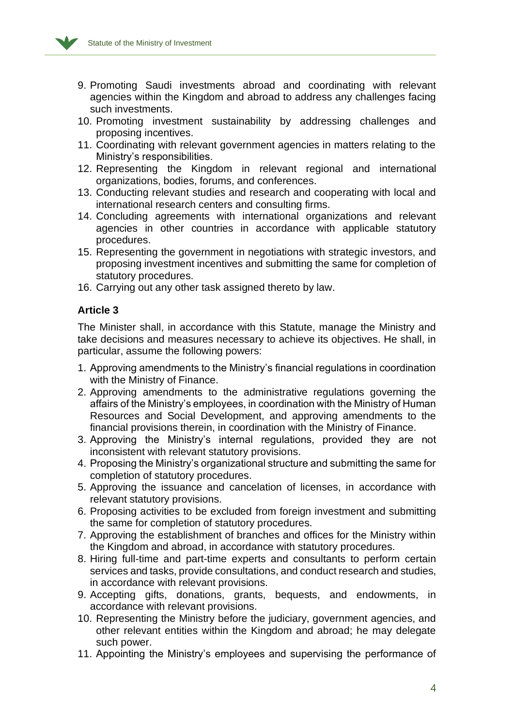

- 9. Promoting Saudi investments abroad and coordinating with relevant agencies within the Kingdom and abroad to address any challenges facing such investments.
- 10. Promoting investment sustainability by addressing challenges and proposing incentives.
- 11. Coordinating with relevant government agencies in matters relating to the Ministry's responsibilities.
- 12. Representing the Kingdom in relevant regional and international organizations, bodies, forums, and conferences.
- 13. Conducting relevant studies and research and cooperating with local and international research centers and consulting firms.
- 14. Concluding agreements with international organizations and relevant agencies in other countries in accordance with applicable statutory procedures.
- 15. Representing the government in negotiations with strategic investors, and proposing investment incentives and submitting the same for completion of statutory procedures.
- 16. Carrying out any other task assigned thereto by law.

## **Article 3**

The Minister shall, in accordance with this Statute, manage the Ministry and take decisions and measures necessary to achieve its objectives. He shall, in particular, assume the following powers:

- 1. Approving amendments to the Ministry's financial regulations in coordination with the Ministry of Finance.
- 2. Approving amendments to the administrative regulations governing the affairs of the Ministry's employees, in coordination with the Ministry of Human Resources and Social Development, and approving amendments to the financial provisions therein, in coordination with the Ministry of Finance.
- 3. Approving the Ministry's internal regulations, provided they are not inconsistent with relevant statutory provisions.
- 4. Proposing the Ministry's organizational structure and submitting the same for completion of statutory procedures.
- 5. Approving the issuance and cancelation of licenses, in accordance with relevant statutory provisions.
- 6. Proposing activities to be excluded from foreign investment and submitting the same for completion of statutory procedures.
- 7. Approving the establishment of branches and offices for the Ministry within the Kingdom and abroad, in accordance with statutory procedures.
- 8. Hiring full-time and part-time experts and consultants to perform certain services and tasks, provide consultations, and conduct research and studies, in accordance with relevant provisions.
- 9. Accepting gifts, donations, grants, bequests, and endowments, in accordance with relevant provisions.
- 10. Representing the Ministry before the judiciary, government agencies, and other relevant entities within the Kingdom and abroad; he may delegate such power.
- 11. Appointing the Ministry's employees and supervising the performance of